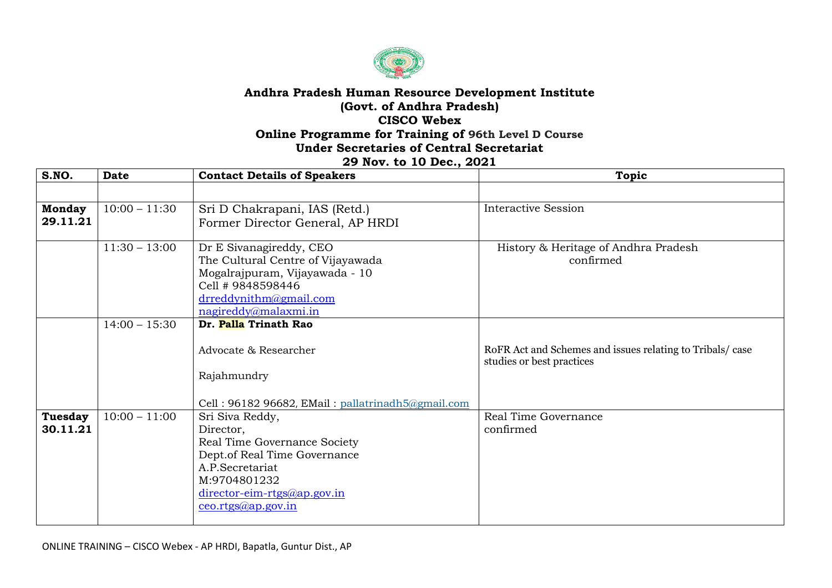

## **Andhra Pradesh Human Resource Development Institute (Govt. of Andhra Pradesh) CISCO Webex Online Programme for Training of 96th Level D Course Under Secretaries of Central Secretariat**

## **29 Nov. to 10 Dec., 2021**

| S.NO.                     | <b>Date</b>     | <b>Contact Details of Speakers</b>                                  | <b>Topic</b>                                              |
|---------------------------|-----------------|---------------------------------------------------------------------|-----------------------------------------------------------|
|                           |                 |                                                                     |                                                           |
| <b>Monday</b><br>29.11.21 | $10:00 - 11:30$ | Sri D Chakrapani, IAS (Retd.)                                       | <b>Interactive Session</b>                                |
|                           |                 | Former Director General, AP HRDI                                    |                                                           |
|                           | $11:30 - 13:00$ | Dr E Sivanagireddy, CEO                                             | History & Heritage of Andhra Pradesh                      |
|                           |                 | The Cultural Centre of Vijayawada<br>Mogalrajpuram, Vijayawada - 10 | confirmed                                                 |
|                           |                 | Cell # 9848598446                                                   |                                                           |
|                           |                 | drreddynithm@gmail.com<br>nagireddy@malaxmi.in                      |                                                           |
|                           | $14:00 - 15:30$ | Dr. Palla Trinath Rao                                               |                                                           |
|                           |                 | Advocate & Researcher                                               | RoFR Act and Schemes and issues relating to Tribals/ case |
|                           |                 |                                                                     | studies or best practices                                 |
|                           |                 | Rajahmundry                                                         |                                                           |
|                           |                 | Cell: 96182 96682, EMail: pallatrinadh5@gmail.com                   |                                                           |
| <b>Tuesday</b>            | $10:00 - 11:00$ | Sri Siva Reddy,                                                     | Real Time Governance                                      |
| 30.11.21                  |                 | Director,                                                           | confirmed                                                 |
|                           |                 | Real Time Governance Society                                        |                                                           |
|                           |                 | Dept.of Real Time Governance<br>A.P.Secretariat                     |                                                           |
|                           |                 | M:9704801232                                                        |                                                           |
|                           |                 | $\frac{direction-crms(a)ap.gov.in}{}$                               |                                                           |
|                           |                 | ceo.rtgs@ap.gov.in                                                  |                                                           |
|                           |                 |                                                                     |                                                           |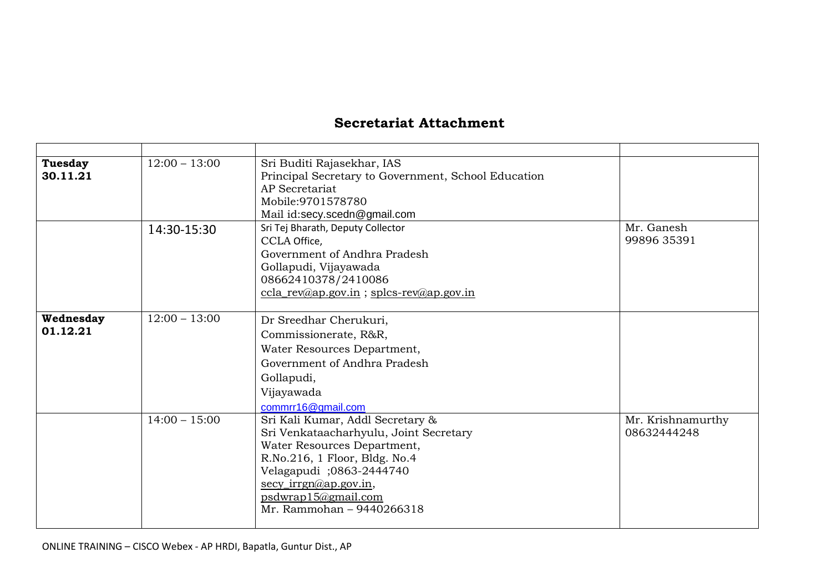## **Secretariat Attachment**

| <b>Tuesday</b> | $12:00 - 13:00$ | Sri Buditi Rajasekhar, IAS                                        |                   |
|----------------|-----------------|-------------------------------------------------------------------|-------------------|
| 30.11.21       |                 | Principal Secretary to Government, School Education               |                   |
|                |                 | <b>AP</b> Secretariat                                             |                   |
|                |                 | Mobile: 9701578780                                                |                   |
|                |                 | Mail id:secy.scedn@gmail.com                                      |                   |
|                | 14:30-15:30     | Sri Tej Bharath, Deputy Collector                                 | Mr. Ganesh        |
|                |                 | CCLA Office,                                                      | 99896 35391       |
|                |                 | Government of Andhra Pradesh                                      |                   |
|                |                 | Gollapudi, Vijayawada                                             |                   |
|                |                 | 08662410378/2410086<br>$ccla_rev@ap.gov.in$ ; splcs-rev@ap.gov.in |                   |
|                |                 |                                                                   |                   |
| Wednesday      | $12:00 - 13:00$ | Dr Sreedhar Cherukuri,                                            |                   |
| 01.12.21       |                 | Commissionerate, R&R,                                             |                   |
|                |                 | Water Resources Department,                                       |                   |
|                |                 | Government of Andhra Pradesh                                      |                   |
|                |                 | Gollapudi,                                                        |                   |
|                |                 | Vijayawada                                                        |                   |
|                |                 | commrr16@gmail.com                                                |                   |
|                | $14:00 - 15:00$ | Sri Kali Kumar, Addl Secretary &                                  | Mr. Krishnamurthy |
|                |                 | Sri Venkataacharhyulu, Joint Secretary                            | 08632444248       |
|                |                 | Water Resources Department,                                       |                   |
|                |                 | R.No.216, 1 Floor, Bldg. No.4                                     |                   |
|                |                 | Velagapudi ;0863-2444740                                          |                   |
|                |                 | $\sec y_i \text{irrgn}(a)$ ap.gov.in,                             |                   |
|                |                 | psdwrap15@gmail.com                                               |                   |
|                |                 | Mr. Rammohan - 9440266318                                         |                   |
|                |                 |                                                                   |                   |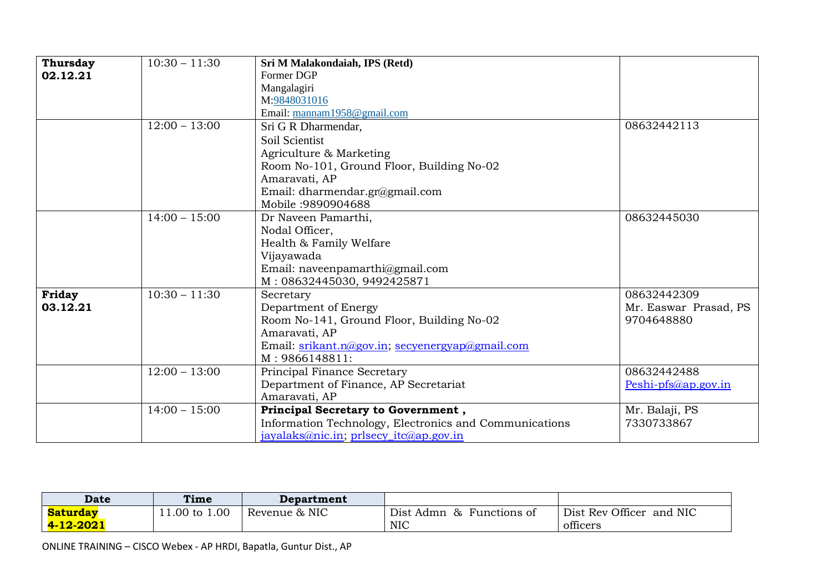| Thursday | $10:30 - 11:30$ | Sri M Malakondaiah, IPS (Retd)                         |                       |
|----------|-----------------|--------------------------------------------------------|-----------------------|
| 02.12.21 |                 | Former DGP                                             |                       |
|          |                 | Mangalagiri                                            |                       |
|          |                 | M:9848031016                                           |                       |
|          |                 | Email: mannam1958@gmail.com                            |                       |
|          | $12:00 - 13:00$ | Sri G R Dharmendar,                                    | 08632442113           |
|          |                 | Soil Scientist                                         |                       |
|          |                 | Agriculture & Marketing                                |                       |
|          |                 | Room No-101, Ground Floor, Building No-02              |                       |
|          |                 | Amaravati, AP                                          |                       |
|          |                 | Email: dharmendar.gr@gmail.com                         |                       |
|          |                 | Mobile: 9890904688                                     |                       |
|          | $14:00 - 15:00$ | Dr Naveen Pamarthi,                                    | 08632445030           |
|          |                 | Nodal Officer,                                         |                       |
|          |                 | Health & Family Welfare                                |                       |
|          |                 | Vijayawada                                             |                       |
|          |                 | Email: naveenpamarthi@gmail.com                        |                       |
|          |                 | M: 08632445030, 9492425871                             |                       |
| Friday   | $10:30 - 11:30$ | Secretary                                              | 08632442309           |
| 03.12.21 |                 | Department of Energy                                   | Mr. Easwar Prasad, PS |
|          |                 | Room No-141, Ground Floor, Building No-02              | 9704648880            |
|          |                 | Amaravati, AP                                          |                       |
|          |                 | Email: srikant.n@gov.in; secyenergyap@gmail.com        |                       |
|          |                 | M: 9866148811:                                         |                       |
|          | $12:00 - 13:00$ | Principal Finance Secretary                            | 08632442488           |
|          |                 | Department of Finance, AP Secretariat                  | Peshi-pfs@ap.gov.in   |
|          |                 | Amaravati, AP                                          |                       |
|          | $14:00 - 15:00$ | Principal Secretary to Government,                     | Mr. Balaji, PS        |
|          |                 | Information Technology, Electronics and Communications | 7330733867            |
|          |                 | jayalaks@nic.in; prlsecy_itc@ap.gov.in                 |                       |

| <b>Date</b>            | Time          | Department    |                                             |                          |
|------------------------|---------------|---------------|---------------------------------------------|--------------------------|
| <b>Saturday</b>        | 11.00 to 1.00 | Revenue & NIC | Dist Admn<br>Functions of<br>8 <sub>5</sub> | Dist Rev Officer and NIC |
| <mark>4-12-2021</mark> |               |               | <b>NIC</b>                                  | officers                 |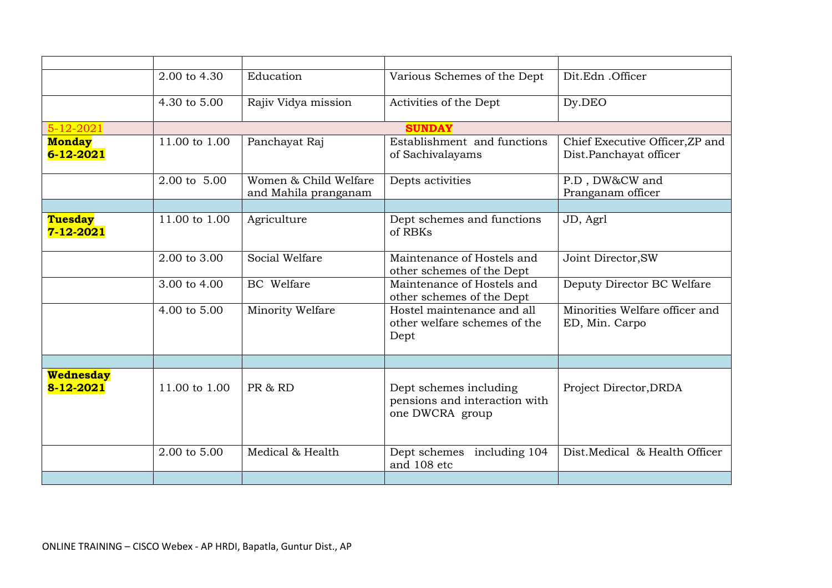|                               | 2.00 to 4.30  | Education                                     | Various Schemes of the Dept                                                | Dit.Edn .Officer                                          |
|-------------------------------|---------------|-----------------------------------------------|----------------------------------------------------------------------------|-----------------------------------------------------------|
|                               | 4.30 to 5.00  | Rajiv Vidya mission                           | Activities of the Dept                                                     | Dy.DEO                                                    |
| $5 - 12 - 2021$               |               |                                               | <b>SUNDAY</b>                                                              |                                                           |
| <b>Monday</b><br>6-12-2021    | 11.00 to 1.00 | Panchayat Raj                                 | Establishment and functions<br>of Sachivalayams                            | Chief Executive Officer, ZP and<br>Dist.Panchayat officer |
|                               | 2.00 to 5.00  | Women & Child Welfare<br>and Mahila pranganam | Depts activities                                                           | P.D, DW&CW and<br>Pranganam officer                       |
|                               |               |                                               |                                                                            |                                                           |
| <b>Tuesday</b><br>7-12-2021   | 11.00 to 1.00 | Agriculture                                   | Dept schemes and functions<br>of RBKs                                      | JD, Agrl                                                  |
|                               | 2.00 to 3.00  | Social Welfare                                | Maintenance of Hostels and<br>other schemes of the Dept                    | Joint Director, SW                                        |
|                               | 3.00 to 4.00  | <b>BC</b> Welfare                             | Maintenance of Hostels and<br>other schemes of the Dept                    | Deputy Director BC Welfare                                |
|                               | 4.00 to 5.00  | Minority Welfare                              | Hostel maintenance and all<br>other welfare schemes of the<br>Dept         | Minorities Welfare officer and<br>ED, Min. Carpo          |
|                               |               |                                               |                                                                            |                                                           |
| <b>Wednesday</b><br>8-12-2021 | 11.00 to 1.00 | PR & RD                                       | Dept schemes including<br>pensions and interaction with<br>one DWCRA group | Project Director, DRDA                                    |
|                               | 2.00 to 5.00  | Medical & Health                              | Dept schemes<br>including 104<br>and 108 etc                               | Dist.Medical & Health Officer                             |
|                               |               |                                               |                                                                            |                                                           |